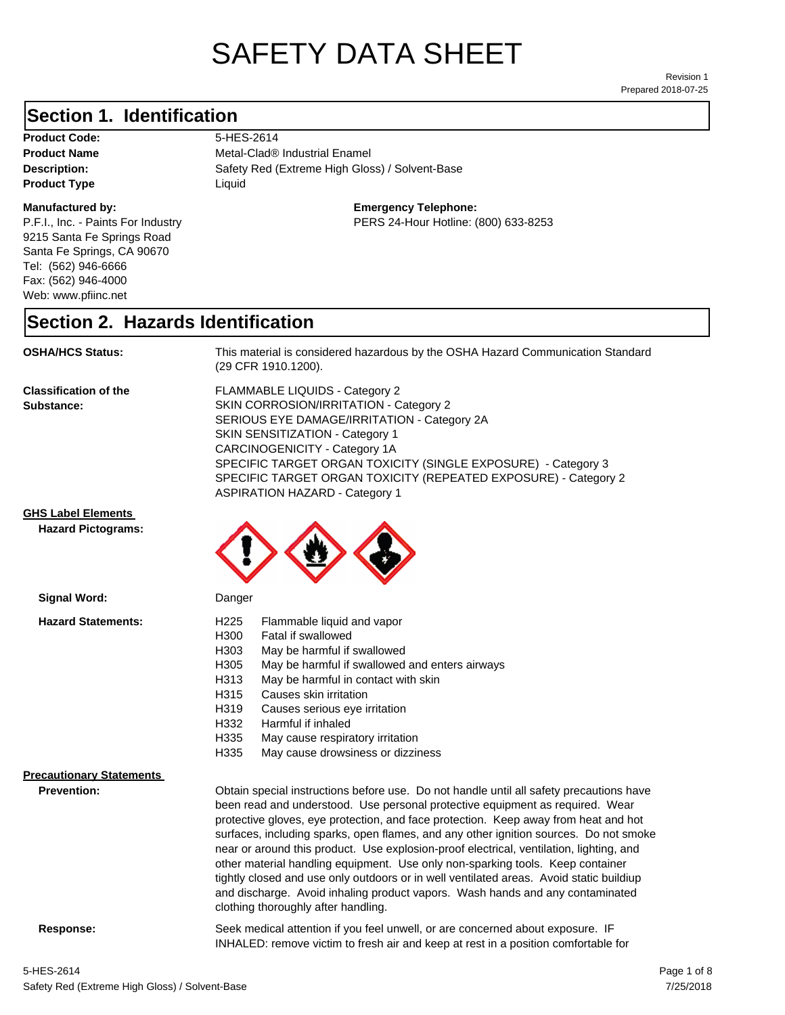# SAFETY DATA SHEET

Prepared 2018-07-25 Revision 1

#### **Section 1. Identification**

Product Code: 5-HES-2614 **Product Type Liquid Liquid** 

#### **Manufactured by:**

P.F.I., Inc. - Paints For Industry 9215 Santa Fe Springs Road Santa Fe Springs, CA 90670 Tel: (562) 946-6666 Fax: (562) 946-4000 Web: www.pfiinc.net

Description: Safety Red (Extreme High Gloss) / Solvent-Base **Product Name** Metal-Clad<sup>®</sup> Industrial Enamel

#### **Emergency Telephone:**

PERS 24-Hour Hotline: (800) 633-8253

#### **Section 2. Hazards Identification**

**OSHA/HCS Status:** This material is considered hazardous by the OSHA Hazard Communication Standard (29 CFR 1910.1200).

**Classification of the Substance:**

FLAMMABLE LIQUIDS - Category 2 SKIN CORROSION/IRRITATION - Category 2 SERIOUS EYE DAMAGE/IRRITATION - Category 2A SKIN SENSITIZATION - Category 1 CARCINOGENICITY - Category 1A SPECIFIC TARGET ORGAN TOXICITY (SINGLE EXPOSURE) - Category 3 SPECIFIC TARGET ORGAN TOXICITY (REPEATED EXPOSURE) - Category 2 ASPIRATION HAZARD - Category 1

#### **GHS Label Elements**

**Signal Word:**

**Hazard Pictograms:**



| H <sub>225</sub><br>Flammable liquid and vapor                                          |                                                                                                                                                                                                                                                                                                                                                                                                                                                                                   |
|-----------------------------------------------------------------------------------------|-----------------------------------------------------------------------------------------------------------------------------------------------------------------------------------------------------------------------------------------------------------------------------------------------------------------------------------------------------------------------------------------------------------------------------------------------------------------------------------|
|                                                                                         |                                                                                                                                                                                                                                                                                                                                                                                                                                                                                   |
| H303<br>May be harmful if swallowed                                                     |                                                                                                                                                                                                                                                                                                                                                                                                                                                                                   |
| H305<br>May be harmful if swallowed and enters airways                                  |                                                                                                                                                                                                                                                                                                                                                                                                                                                                                   |
| May be harmful in contact with skin<br>H313                                             |                                                                                                                                                                                                                                                                                                                                                                                                                                                                                   |
| H315<br>Causes skin irritation                                                          |                                                                                                                                                                                                                                                                                                                                                                                                                                                                                   |
| H319<br>Causes serious eye irritation                                                   |                                                                                                                                                                                                                                                                                                                                                                                                                                                                                   |
| H332<br>Harmful if inhaled                                                              |                                                                                                                                                                                                                                                                                                                                                                                                                                                                                   |
| H335<br>May cause respiratory irritation                                                |                                                                                                                                                                                                                                                                                                                                                                                                                                                                                   |
| H335<br>May cause drowsiness or dizziness                                               |                                                                                                                                                                                                                                                                                                                                                                                                                                                                                   |
|                                                                                         |                                                                                                                                                                                                                                                                                                                                                                                                                                                                                   |
|                                                                                         |                                                                                                                                                                                                                                                                                                                                                                                                                                                                                   |
| been read and understood. Use personal protective equipment as required. Wear           |                                                                                                                                                                                                                                                                                                                                                                                                                                                                                   |
|                                                                                         |                                                                                                                                                                                                                                                                                                                                                                                                                                                                                   |
|                                                                                         |                                                                                                                                                                                                                                                                                                                                                                                                                                                                                   |
|                                                                                         |                                                                                                                                                                                                                                                                                                                                                                                                                                                                                   |
| other material handling equipment. Use only non-sparking tools. Keep container          |                                                                                                                                                                                                                                                                                                                                                                                                                                                                                   |
| tightly closed and use only outdoors or in well ventilated areas. Avoid static buildiup |                                                                                                                                                                                                                                                                                                                                                                                                                                                                                   |
|                                                                                         |                                                                                                                                                                                                                                                                                                                                                                                                                                                                                   |
| clothing thoroughly after handling.                                                     |                                                                                                                                                                                                                                                                                                                                                                                                                                                                                   |
|                                                                                         | H300<br>Fatal if swallowed<br>Obtain special instructions before use. Do not handle until all safety precautions have<br>protective gloves, eye protection, and face protection. Keep away from heat and hot<br>surfaces, including sparks, open flames, and any other ignition sources. Do not smoke<br>near or around this product. Use explosion-proof electrical, ventilation, lighting, and<br>and discharge. Avoid inhaling product vapors. Wash hands and any contaminated |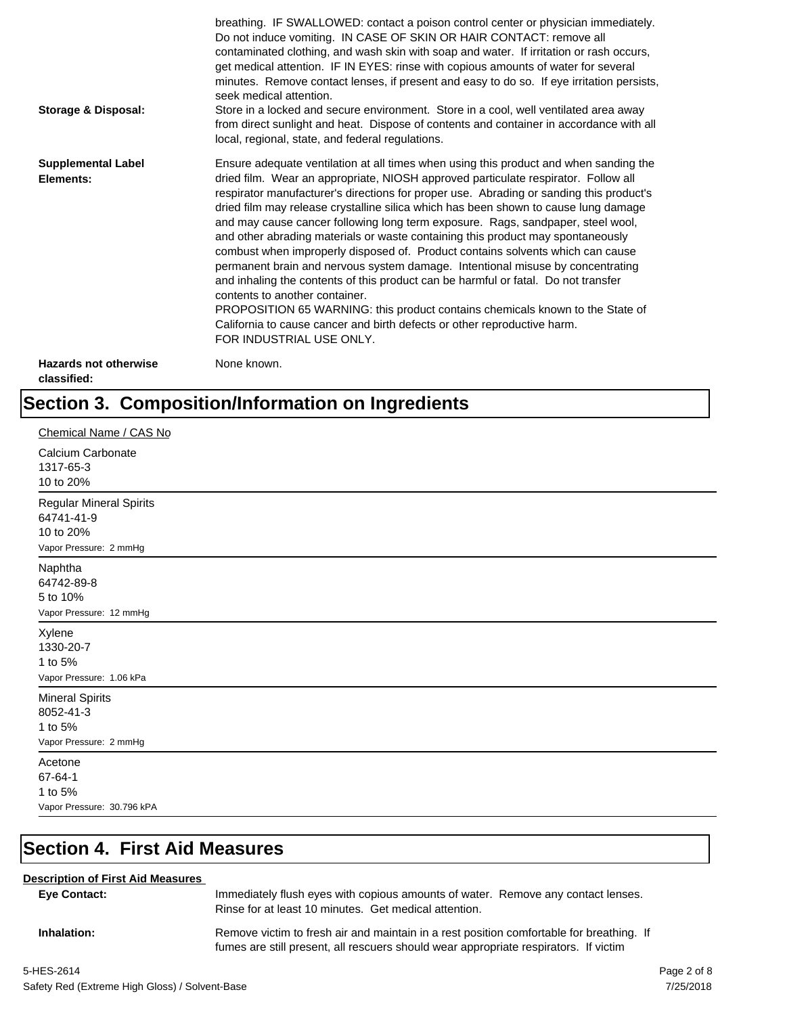| <b>Storage &amp; Disposal:</b>              | breathing. IF SWALLOWED: contact a poison control center or physician immediately.<br>Do not induce vomiting. IN CASE OF SKIN OR HAIR CONTACT: remove all<br>contaminated clothing, and wash skin with soap and water. If irritation or rash occurs,<br>get medical attention. IF IN EYES: rinse with copious amounts of water for several<br>minutes. Remove contact lenses, if present and easy to do so. If eye irritation persists,<br>seek medical attention.<br>Store in a locked and secure environment. Store in a cool, well ventilated area away<br>from direct sunlight and heat. Dispose of contents and container in accordance with all<br>local, regional, state, and federal regulations.                                                                                                                                                                                                                                                                                                                |
|---------------------------------------------|--------------------------------------------------------------------------------------------------------------------------------------------------------------------------------------------------------------------------------------------------------------------------------------------------------------------------------------------------------------------------------------------------------------------------------------------------------------------------------------------------------------------------------------------------------------------------------------------------------------------------------------------------------------------------------------------------------------------------------------------------------------------------------------------------------------------------------------------------------------------------------------------------------------------------------------------------------------------------------------------------------------------------|
| <b>Supplemental Label</b><br>Elements:      | Ensure adequate ventilation at all times when using this product and when sanding the<br>dried film. Wear an appropriate, NIOSH approved particulate respirator. Follow all<br>respirator manufacturer's directions for proper use. Abrading or sanding this product's<br>dried film may release crystalline silica which has been shown to cause lung damage<br>and may cause cancer following long term exposure. Rags, sandpaper, steel wool,<br>and other abrading materials or waste containing this product may spontaneously<br>combust when improperly disposed of. Product contains solvents which can cause<br>permanent brain and nervous system damage. Intentional misuse by concentrating<br>and inhaling the contents of this product can be harmful or fatal. Do not transfer<br>contents to another container.<br>PROPOSITION 65 WARNING: this product contains chemicals known to the State of<br>California to cause cancer and birth defects or other reproductive harm.<br>FOR INDUSTRIAL USE ONLY. |
| <b>Hazards not otherwise</b><br>classified: | None known.                                                                                                                                                                                                                                                                                                                                                                                                                                                                                                                                                                                                                                                                                                                                                                                                                                                                                                                                                                                                              |

## **Section 3. Composition/Information on Ingredients**

| Chemical Name / CAS No                                                       |
|------------------------------------------------------------------------------|
| Calcium Carbonate<br>1317-65-3<br>10 to 20%                                  |
| Regular Mineral Spirits<br>64741-41-9<br>10 to 20%<br>Vapor Pressure: 2 mmHg |
| Naphtha<br>64742-89-8<br>5 to 10%<br>Vapor Pressure: 12 mmHg                 |
| Xylene<br>1330-20-7<br>1 to 5%<br>Vapor Pressure: 1.06 kPa                   |
| <b>Mineral Spirits</b><br>8052-41-3<br>1 to 5%<br>Vapor Pressure: 2 mmHg     |
| Acetone<br>67-64-1<br>1 to 5%<br>Vapor Pressure: 30.796 kPA                  |

## **Section 4. First Aid Measures**

#### **Description of First Aid Measures**

| <b>Eve Contact:</b> | Immediately flush eyes with copious amounts of water. Remove any contact lenses.<br>Rinse for at least 10 minutes. Get medical attention.                                        |
|---------------------|----------------------------------------------------------------------------------------------------------------------------------------------------------------------------------|
| Inhalation:         | Remove victim to fresh air and maintain in a rest position comfortable for breathing. If<br>fumes are still present, all rescuers should wear appropriate respirators. If victim |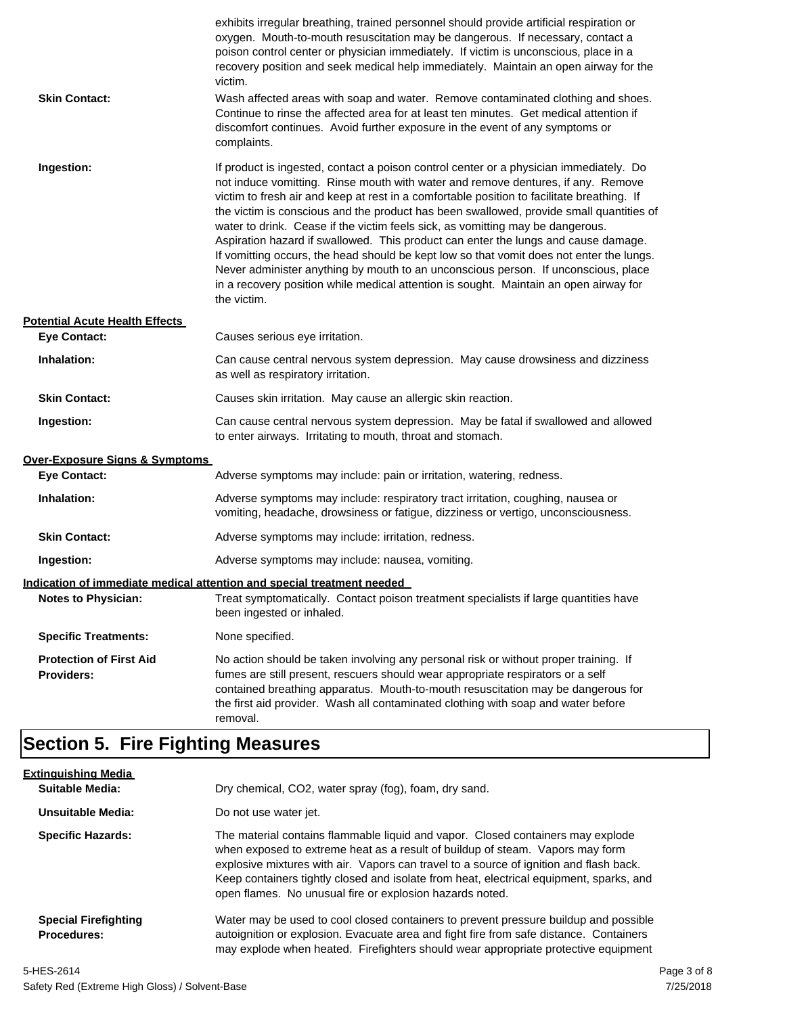| <b>Skin Contact:</b>                                | exhibits irregular breathing, trained personnel should provide artificial respiration or<br>oxygen. Mouth-to-mouth resuscitation may be dangerous. If necessary, contact a<br>poison control center or physician immediately. If victim is unconscious, place in a<br>recovery position and seek medical help immediately. Maintain an open airway for the<br>victim.<br>Wash affected areas with soap and water. Remove contaminated clothing and shoes.<br>Continue to rinse the affected area for at least ten minutes. Get medical attention if<br>discomfort continues. Avoid further exposure in the event of any symptoms or<br>complaints.                                                                                                                                                                                    |
|-----------------------------------------------------|---------------------------------------------------------------------------------------------------------------------------------------------------------------------------------------------------------------------------------------------------------------------------------------------------------------------------------------------------------------------------------------------------------------------------------------------------------------------------------------------------------------------------------------------------------------------------------------------------------------------------------------------------------------------------------------------------------------------------------------------------------------------------------------------------------------------------------------|
| Ingestion:                                          | If product is ingested, contact a poison control center or a physician immediately. Do<br>not induce vomitting. Rinse mouth with water and remove dentures, if any. Remove<br>victim to fresh air and keep at rest in a comfortable position to facilitate breathing. If<br>the victim is conscious and the product has been swallowed, provide small quantities of<br>water to drink. Cease if the victim feels sick, as vomitting may be dangerous.<br>Aspiration hazard if swallowed. This product can enter the lungs and cause damage.<br>If vomitting occurs, the head should be kept low so that vomit does not enter the lungs.<br>Never administer anything by mouth to an unconscious person. If unconscious, place<br>in a recovery position while medical attention is sought. Maintain an open airway for<br>the victim. |
| <b>Potential Acute Health Effects</b>               |                                                                                                                                                                                                                                                                                                                                                                                                                                                                                                                                                                                                                                                                                                                                                                                                                                       |
| <b>Eye Contact:</b>                                 | Causes serious eye irritation.                                                                                                                                                                                                                                                                                                                                                                                                                                                                                                                                                                                                                                                                                                                                                                                                        |
| Inhalation:                                         | Can cause central nervous system depression. May cause drowsiness and dizziness<br>as well as respiratory irritation.                                                                                                                                                                                                                                                                                                                                                                                                                                                                                                                                                                                                                                                                                                                 |
| <b>Skin Contact:</b>                                | Causes skin irritation. May cause an allergic skin reaction.                                                                                                                                                                                                                                                                                                                                                                                                                                                                                                                                                                                                                                                                                                                                                                          |
| Ingestion:                                          | Can cause central nervous system depression. May be fatal if swallowed and allowed<br>to enter airways. Irritating to mouth, throat and stomach.                                                                                                                                                                                                                                                                                                                                                                                                                                                                                                                                                                                                                                                                                      |
| <b>Over-Exposure Signs &amp; Symptoms</b>           |                                                                                                                                                                                                                                                                                                                                                                                                                                                                                                                                                                                                                                                                                                                                                                                                                                       |
| <b>Eye Contact:</b>                                 | Adverse symptoms may include: pain or irritation, watering, redness.                                                                                                                                                                                                                                                                                                                                                                                                                                                                                                                                                                                                                                                                                                                                                                  |
| Inhalation:                                         | Adverse symptoms may include: respiratory tract irritation, coughing, nausea or<br>vomiting, headache, drowsiness or fatigue, dizziness or vertigo, unconsciousness.                                                                                                                                                                                                                                                                                                                                                                                                                                                                                                                                                                                                                                                                  |
| <b>Skin Contact:</b>                                | Adverse symptoms may include: irritation, redness.                                                                                                                                                                                                                                                                                                                                                                                                                                                                                                                                                                                                                                                                                                                                                                                    |
| Ingestion:                                          | Adverse symptoms may include: nausea, vomiting.                                                                                                                                                                                                                                                                                                                                                                                                                                                                                                                                                                                                                                                                                                                                                                                       |
|                                                     | Indication of immediate medical attention and special treatment needed                                                                                                                                                                                                                                                                                                                                                                                                                                                                                                                                                                                                                                                                                                                                                                |
| <b>Notes to Physician:</b>                          | Treat symptomatically. Contact poison treatment specialists if large quantities have<br>been ingested or inhaled.                                                                                                                                                                                                                                                                                                                                                                                                                                                                                                                                                                                                                                                                                                                     |
| <b>Specific Treatments:</b>                         | None specified.                                                                                                                                                                                                                                                                                                                                                                                                                                                                                                                                                                                                                                                                                                                                                                                                                       |
| <b>Protection of First Aid</b><br><b>Providers:</b> | No action should be taken involving any personal risk or without proper training. If<br>fumes are still present, rescuers should wear appropriate respirators or a self<br>contained breathing apparatus. Mouth-to-mouth resuscitation may be dangerous for<br>the first aid provider. Wash all contaminated clothing with soap and water before<br>removal.                                                                                                                                                                                                                                                                                                                                                                                                                                                                          |

## **Section 5. Fire Fighting Measures**

| <b>Extinguishing Media</b>                        |                                                                                                                                                                                                                                                                                                                                                                                                                   |
|---------------------------------------------------|-------------------------------------------------------------------------------------------------------------------------------------------------------------------------------------------------------------------------------------------------------------------------------------------------------------------------------------------------------------------------------------------------------------------|
| Suitable Media:                                   | Dry chemical, CO2, water spray (fog), foam, dry sand.                                                                                                                                                                                                                                                                                                                                                             |
| Unsuitable Media:                                 | Do not use water jet.                                                                                                                                                                                                                                                                                                                                                                                             |
| <b>Specific Hazards:</b>                          | The material contains flammable liquid and vapor. Closed containers may explode<br>when exposed to extreme heat as a result of buildup of steam. Vapors may form<br>explosive mixtures with air. Vapors can travel to a source of ignition and flash back.<br>Keep containers tightly closed and isolate from heat, electrical equipment, sparks, and<br>open flames. No unusual fire or explosion hazards noted. |
| <b>Special Firefighting</b><br><b>Procedures:</b> | Water may be used to cool closed containers to prevent pressure buildup and possible<br>autoignition or explosion. Evacuate area and fight fire from safe distance. Containers<br>may explode when heated. Firefighters should wear appropriate protective equipment                                                                                                                                              |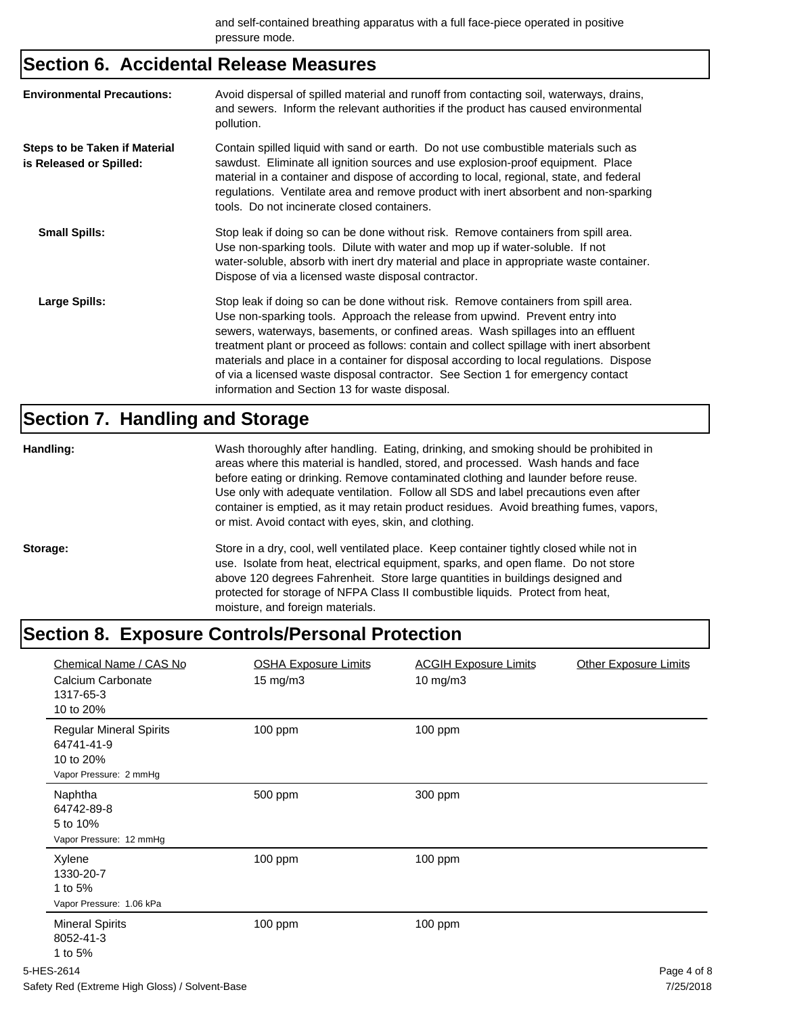## **Section 6. Accidental Release Measures**

| <b>Environmental Precautions:</b>                               | Avoid dispersal of spilled material and runoff from contacting soil, waterways, drains,<br>and sewers. Inform the relevant authorities if the product has caused environmental<br>pollution.                                                                                                                                                                                                                                                                                                                                                                                        |
|-----------------------------------------------------------------|-------------------------------------------------------------------------------------------------------------------------------------------------------------------------------------------------------------------------------------------------------------------------------------------------------------------------------------------------------------------------------------------------------------------------------------------------------------------------------------------------------------------------------------------------------------------------------------|
| <b>Steps to be Taken if Material</b><br>is Released or Spilled: | Contain spilled liquid with sand or earth. Do not use combustible materials such as<br>sawdust. Eliminate all ignition sources and use explosion-proof equipment. Place<br>material in a container and dispose of according to local, regional, state, and federal<br>regulations. Ventilate area and remove product with inert absorbent and non-sparking<br>tools. Do not incinerate closed containers.                                                                                                                                                                           |
| <b>Small Spills:</b>                                            | Stop leak if doing so can be done without risk. Remove containers from spill area.<br>Use non-sparking tools. Dilute with water and mop up if water-soluble. If not<br>water-soluble, absorb with inert dry material and place in appropriate waste container.<br>Dispose of via a licensed waste disposal contractor.                                                                                                                                                                                                                                                              |
| Large Spills:                                                   | Stop leak if doing so can be done without risk. Remove containers from spill area.<br>Use non-sparking tools. Approach the release from upwind. Prevent entry into<br>sewers, waterways, basements, or confined areas. Wash spillages into an effluent<br>treatment plant or proceed as follows: contain and collect spillage with inert absorbent<br>materials and place in a container for disposal according to local regulations. Dispose<br>of via a licensed waste disposal contractor. See Section 1 for emergency contact<br>information and Section 13 for waste disposal. |

## **Section 7. Handling and Storage**

| Handling: | Wash thoroughly after handling. Eating, drinking, and smoking should be prohibited in<br>areas where this material is handled, stored, and processed. Wash hands and face<br>before eating or drinking. Remove contaminated clothing and launder before reuse.<br>Use only with adequate ventilation. Follow all SDS and label precautions even after<br>container is emptied, as it may retain product residues. Avoid breathing fumes, vapors,<br>or mist. Avoid contact with eyes, skin, and clothing. |
|-----------|-----------------------------------------------------------------------------------------------------------------------------------------------------------------------------------------------------------------------------------------------------------------------------------------------------------------------------------------------------------------------------------------------------------------------------------------------------------------------------------------------------------|
| Storage:  | Store in a dry, cool, well ventilated place. Keep container tightly closed while not in<br>use. Isolate from heat, electrical equipment, sparks, and open flame. Do not store<br>above 120 degrees Fahrenheit. Store large quantities in buildings designed and<br>protected for storage of NFPA Class II combustible liquids. Protect from heat,<br>moisture, and foreign materials.                                                                                                                     |

## **Section 8. Exposure Controls/Personal Protection**

| Chemical Name / CAS No<br>Calcium Carbonate<br>1317-65-3<br>10 to 20%               | <b>OSHA Exposure Limits</b><br>15 mg/m3 | <b>ACGIH Exposure Limits</b><br>10 mg/m3 | <b>Other Exposure Limits</b> |
|-------------------------------------------------------------------------------------|-----------------------------------------|------------------------------------------|------------------------------|
| <b>Regular Mineral Spirits</b><br>64741-41-9<br>10 to 20%<br>Vapor Pressure: 2 mmHg | 100 ppm                                 | 100 ppm                                  |                              |
| Naphtha<br>64742-89-8<br>5 to 10%<br>Vapor Pressure: 12 mmHg                        | 500 ppm                                 | 300 ppm                                  |                              |
| Xylene<br>1330-20-7<br>1 to 5%<br>Vapor Pressure: 1.06 kPa                          | 100 ppm                                 | 100 ppm                                  |                              |
| <b>Mineral Spirits</b><br>8052-41-3<br>1 to 5%                                      | 100 ppm                                 | 100 ppm                                  |                              |
| 5-HES-2614                                                                          |                                         |                                          | Page 4 of 8                  |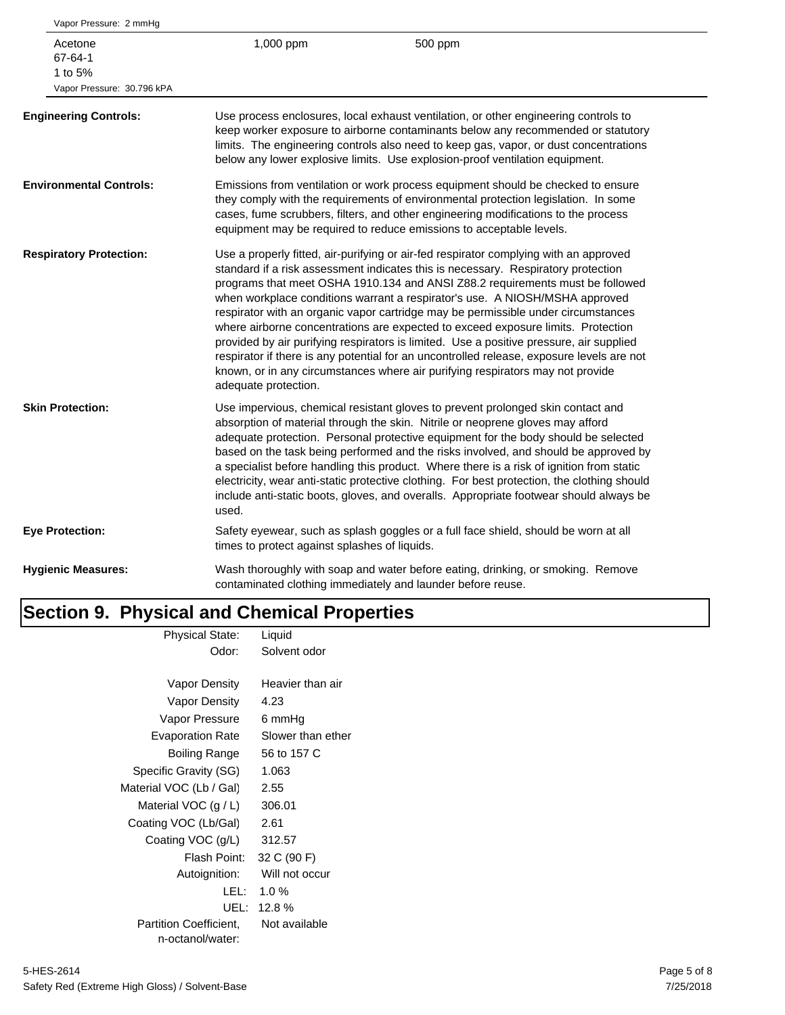| 1,000 ppm                                                                                                                                                                                                                                                                                                                                        | 500 ppm                                                                                                                                                                                                                                                                                                                                                                                                                                                                                                                                                                                                                                                                                                                                                                                       |  |  |
|--------------------------------------------------------------------------------------------------------------------------------------------------------------------------------------------------------------------------------------------------------------------------------------------------------------------------------------------------|-----------------------------------------------------------------------------------------------------------------------------------------------------------------------------------------------------------------------------------------------------------------------------------------------------------------------------------------------------------------------------------------------------------------------------------------------------------------------------------------------------------------------------------------------------------------------------------------------------------------------------------------------------------------------------------------------------------------------------------------------------------------------------------------------|--|--|
| Use process enclosures, local exhaust ventilation, or other engineering controls to<br>keep worker exposure to airborne contaminants below any recommended or statutory<br>limits. The engineering controls also need to keep gas, vapor, or dust concentrations<br>below any lower explosive limits. Use explosion-proof ventilation equipment. |                                                                                                                                                                                                                                                                                                                                                                                                                                                                                                                                                                                                                                                                                                                                                                                               |  |  |
| Emissions from ventilation or work process equipment should be checked to ensure<br>they comply with the requirements of environmental protection legislation. In some<br>cases, fume scrubbers, filters, and other engineering modifications to the process<br>equipment may be required to reduce emissions to acceptable levels.              |                                                                                                                                                                                                                                                                                                                                                                                                                                                                                                                                                                                                                                                                                                                                                                                               |  |  |
| adequate protection.                                                                                                                                                                                                                                                                                                                             | Use a properly fitted, air-purifying or air-fed respirator complying with an approved<br>standard if a risk assessment indicates this is necessary. Respiratory protection<br>programs that meet OSHA 1910.134 and ANSI Z88.2 requirements must be followed<br>when workplace conditions warrant a respirator's use. A NIOSH/MSHA approved<br>respirator with an organic vapor cartridge may be permissible under circumstances<br>where airborne concentrations are expected to exceed exposure limits. Protection<br>provided by air purifying respirators is limited. Use a positive pressure, air supplied<br>respirator if there is any potential for an uncontrolled release, exposure levels are not<br>known, or in any circumstances where air purifying respirators may not provide |  |  |
| used.                                                                                                                                                                                                                                                                                                                                            | Use impervious, chemical resistant gloves to prevent prolonged skin contact and<br>absorption of material through the skin. Nitrile or neoprene gloves may afford<br>adequate protection. Personal protective equipment for the body should be selected<br>based on the task being performed and the risks involved, and should be approved by<br>a specialist before handling this product. Where there is a risk of ignition from static<br>electricity, wear anti-static protective clothing. For best protection, the clothing should<br>include anti-static boots, gloves, and overalls. Appropriate footwear should always be                                                                                                                                                           |  |  |
|                                                                                                                                                                                                                                                                                                                                                  | Safety eyewear, such as splash goggles or a full face shield, should be worn at all                                                                                                                                                                                                                                                                                                                                                                                                                                                                                                                                                                                                                                                                                                           |  |  |
|                                                                                                                                                                                                                                                                                                                                                  | Wash thoroughly with soap and water before eating, drinking, or smoking. Remove<br>contaminated clothing immediately and launder before reuse.                                                                                                                                                                                                                                                                                                                                                                                                                                                                                                                                                                                                                                                |  |  |
|                                                                                                                                                                                                                                                                                                                                                  | times to protect against splashes of liquids.                                                                                                                                                                                                                                                                                                                                                                                                                                                                                                                                                                                                                                                                                                                                                 |  |  |

#### **Section 9. Physical and Chemical Properties** Physical State: Liquid

| riiysidal oldie.              | Liyulu            |
|-------------------------------|-------------------|
| Odor:                         | Solvent odor      |
|                               |                   |
| Vapor Density                 | Heavier than air  |
| Vapor Density                 | 4.23              |
| Vapor Pressure                | 6 mmHg            |
| <b>Evaporation Rate</b>       | Slower than ether |
| Boiling Range                 | 56 to 157 C       |
| Specific Gravity (SG)         | 1.063             |
| Material VOC (Lb / Gal)       | 2.55              |
| Material VOC $(g / L)$        | 306.01            |
| Coating VOC (Lb/Gal)          | 2.61              |
| Coating VOC (g/L)             | 312.57            |
| Flash Point:                  | 32 C (90 F)       |
| Autoignition:                 | Will not occur    |
| LEL:                          | $1.0 \%$          |
| UEL:                          | 12.8%             |
| <b>Partition Coefficient.</b> | Not available     |
| n-octanol/water:              |                   |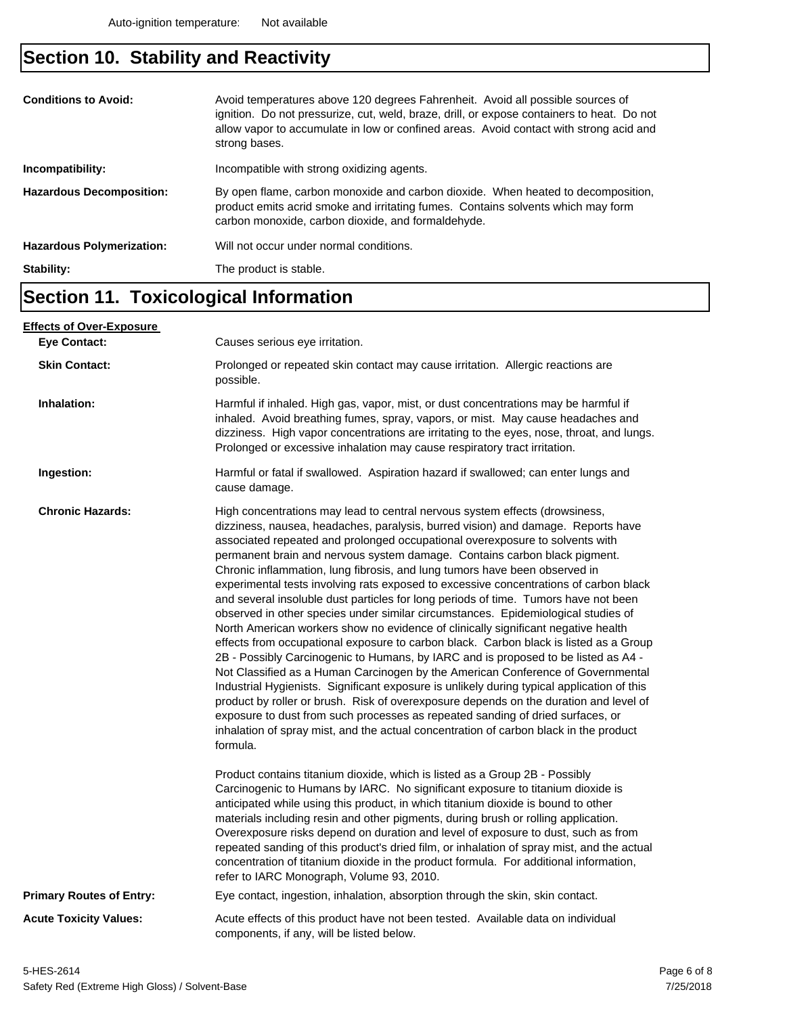## **Section 10. Stability and Reactivity**

| strong bases.                                                                                                                                                                                                                                                 |  |
|---------------------------------------------------------------------------------------------------------------------------------------------------------------------------------------------------------------------------------------------------------------|--|
| Incompatible with strong oxidizing agents.<br>Incompatibility:                                                                                                                                                                                                |  |
| By open flame, carbon monoxide and carbon dioxide. When heated to decomposition,<br><b>Hazardous Decomposition:</b><br>product emits acrid smoke and irritating fumes. Contains solvents which may form<br>carbon monoxide, carbon dioxide, and formaldehyde. |  |
| Will not occur under normal conditions.<br><b>Hazardous Polymerization:</b>                                                                                                                                                                                   |  |
| Stability:<br>The product is stable.                                                                                                                                                                                                                          |  |

### **Section 11. Toxicological Information**

| <u>Effects of Over-Exposure_</u> |                                                                                                                                                                                                                                                                                                                                                                                                                                                                                                                                                                                                                                                                                                                                                                                                                                                                                                                                                                                                                                                                                                                                                                                                                                                                                                                                                                                                                      |  |  |
|----------------------------------|----------------------------------------------------------------------------------------------------------------------------------------------------------------------------------------------------------------------------------------------------------------------------------------------------------------------------------------------------------------------------------------------------------------------------------------------------------------------------------------------------------------------------------------------------------------------------------------------------------------------------------------------------------------------------------------------------------------------------------------------------------------------------------------------------------------------------------------------------------------------------------------------------------------------------------------------------------------------------------------------------------------------------------------------------------------------------------------------------------------------------------------------------------------------------------------------------------------------------------------------------------------------------------------------------------------------------------------------------------------------------------------------------------------------|--|--|
| <b>Eve Contact:</b>              | Causes serious eye irritation.                                                                                                                                                                                                                                                                                                                                                                                                                                                                                                                                                                                                                                                                                                                                                                                                                                                                                                                                                                                                                                                                                                                                                                                                                                                                                                                                                                                       |  |  |
| <b>Skin Contact:</b>             | Prolonged or repeated skin contact may cause irritation. Allergic reactions are<br>possible.                                                                                                                                                                                                                                                                                                                                                                                                                                                                                                                                                                                                                                                                                                                                                                                                                                                                                                                                                                                                                                                                                                                                                                                                                                                                                                                         |  |  |
| Inhalation:                      | Harmful if inhaled. High gas, vapor, mist, or dust concentrations may be harmful if<br>inhaled. Avoid breathing fumes, spray, vapors, or mist. May cause headaches and<br>dizziness. High vapor concentrations are irritating to the eyes, nose, throat, and lungs.<br>Prolonged or excessive inhalation may cause respiratory tract irritation.                                                                                                                                                                                                                                                                                                                                                                                                                                                                                                                                                                                                                                                                                                                                                                                                                                                                                                                                                                                                                                                                     |  |  |
| Ingestion:                       | Harmful or fatal if swallowed. Aspiration hazard if swallowed; can enter lungs and<br>cause damage.                                                                                                                                                                                                                                                                                                                                                                                                                                                                                                                                                                                                                                                                                                                                                                                                                                                                                                                                                                                                                                                                                                                                                                                                                                                                                                                  |  |  |
| <b>Chronic Hazards:</b>          | High concentrations may lead to central nervous system effects (drowsiness,<br>dizziness, nausea, headaches, paralysis, burred vision) and damage. Reports have<br>associated repeated and prolonged occupational overexposure to solvents with<br>permanent brain and nervous system damage. Contains carbon black pigment.<br>Chronic inflammation, lung fibrosis, and lung tumors have been observed in<br>experimental tests involving rats exposed to excessive concentrations of carbon black<br>and several insoluble dust particles for long periods of time. Tumors have not been<br>observed in other species under similar circumstances. Epidemiological studies of<br>North American workers show no evidence of clinically significant negative health<br>effects from occupational exposure to carbon black. Carbon black is listed as a Group<br>2B - Possibly Carcinogenic to Humans, by IARC and is proposed to be listed as A4 -<br>Not Classified as a Human Carcinogen by the American Conference of Governmental<br>Industrial Hygienists. Significant exposure is unlikely during typical application of this<br>product by roller or brush. Risk of overexposure depends on the duration and level of<br>exposure to dust from such processes as repeated sanding of dried surfaces, or<br>inhalation of spray mist, and the actual concentration of carbon black in the product<br>formula. |  |  |
|                                  | Product contains titanium dioxide, which is listed as a Group 2B - Possibly<br>Carcinogenic to Humans by IARC. No significant exposure to titanium dioxide is<br>anticipated while using this product, in which titanium dioxide is bound to other<br>materials including resin and other pigments, during brush or rolling application.<br>Overexposure risks depend on duration and level of exposure to dust, such as from<br>repeated sanding of this product's dried film, or inhalation of spray mist, and the actual<br>concentration of titanium dioxide in the product formula. For additional information,<br>refer to IARC Monograph, Volume 93, 2010.                                                                                                                                                                                                                                                                                                                                                                                                                                                                                                                                                                                                                                                                                                                                                    |  |  |
| <b>Primary Routes of Entry:</b>  | Eye contact, ingestion, inhalation, absorption through the skin, skin contact.                                                                                                                                                                                                                                                                                                                                                                                                                                                                                                                                                                                                                                                                                                                                                                                                                                                                                                                                                                                                                                                                                                                                                                                                                                                                                                                                       |  |  |
| <b>Acute Toxicity Values:</b>    | Acute effects of this product have not been tested. Available data on individual<br>components, if any, will be listed below.                                                                                                                                                                                                                                                                                                                                                                                                                                                                                                                                                                                                                                                                                                                                                                                                                                                                                                                                                                                                                                                                                                                                                                                                                                                                                        |  |  |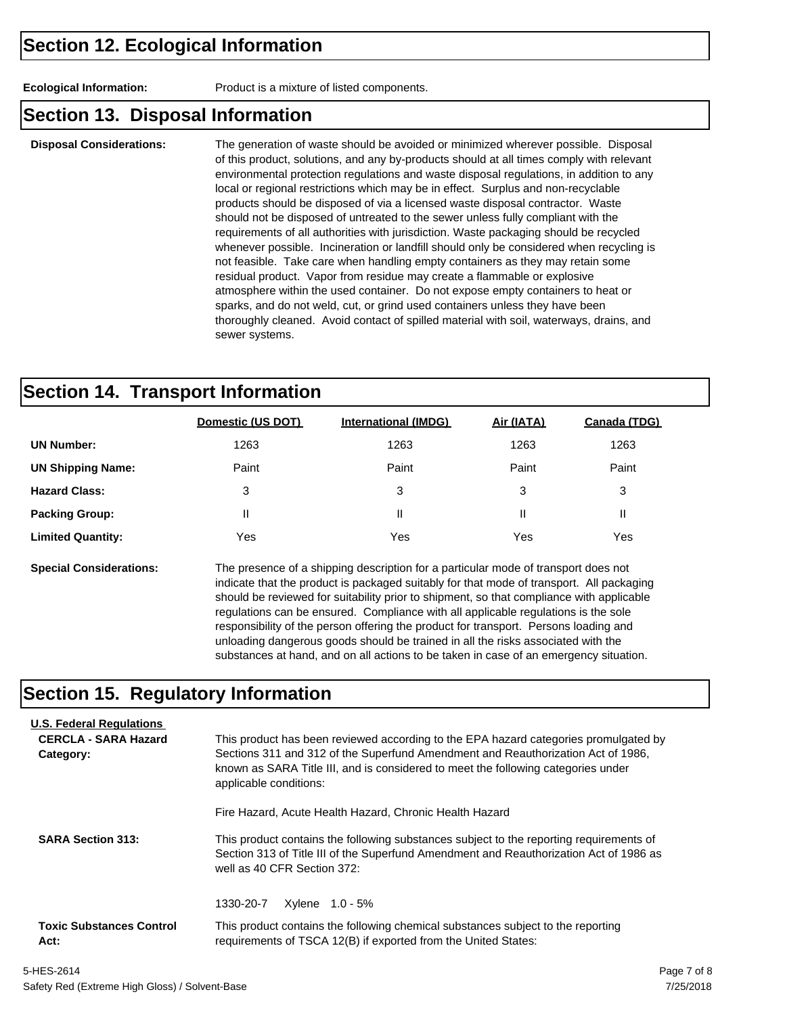**Ecological Information:** Product is a mixture of listed components.

#### **Section 13. Disposal Information**

**Disposal Considerations:** The generation of waste should be avoided or minimized wherever possible. Disposal of this product, solutions, and any by-products should at all times comply with relevant environmental protection regulations and waste disposal regulations, in addition to any local or regional restrictions which may be in effect. Surplus and non-recyclable products should be disposed of via a licensed waste disposal contractor. Waste should not be disposed of untreated to the sewer unless fully compliant with the requirements of all authorities with jurisdiction. Waste packaging should be recycled whenever possible. Incineration or landfill should only be considered when recycling is not feasible. Take care when handling empty containers as they may retain some residual product. Vapor from residue may create a flammable or explosive atmosphere within the used container. Do not expose empty containers to heat or sparks, and do not weld, cut, or grind used containers unless they have been thoroughly cleaned. Avoid contact of spilled material with soil, waterways, drains, and sewer systems.

#### **Section 14. Transport Information**

|                          | Domestic (US DOT) | <b>International (IMDG)</b> | Air (IATA) | Canada (TDG) |
|--------------------------|-------------------|-----------------------------|------------|--------------|
| <b>UN Number:</b>        | 1263              | 1263                        | 1263       | 1263         |
| <b>UN Shipping Name:</b> | Paint             | Paint                       | Paint      | Paint        |
| <b>Hazard Class:</b>     | 3                 | 3                           | 3          | 3            |
| <b>Packing Group:</b>    | Ш                 | Ш                           | Ш          | Ш            |
| <b>Limited Quantity:</b> | Yes               | Yes                         | Yes        | Yes          |
|                          |                   |                             |            |              |

**Special Considerations:** The presence of a shipping description for a particular mode of transport does not indicate that the product is packaged suitably for that mode of transport. All packaging should be reviewed for suitability prior to shipment, so that compliance with applicable regulations can be ensured. Compliance with all applicable regulations is the sole responsibility of the person offering the product for transport. Persons loading and unloading dangerous goods should be trained in all the risks associated with the substances at hand, and on all actions to be taken in case of an emergency situation.

#### **Section 15. Regulatory Information**

| <b>U.S. Federal Regulations</b><br><b>CERCLA - SARA Hazard</b><br>Category: | This product has been reviewed according to the EPA hazard categories promulgated by<br>Sections 311 and 312 of the Superfund Amendment and Reauthorization Act of 1986.<br>known as SARA Title III, and is considered to meet the following categories under<br>applicable conditions: |  |  |  |
|-----------------------------------------------------------------------------|-----------------------------------------------------------------------------------------------------------------------------------------------------------------------------------------------------------------------------------------------------------------------------------------|--|--|--|
|                                                                             | Fire Hazard, Acute Health Hazard, Chronic Health Hazard                                                                                                                                                                                                                                 |  |  |  |
| <b>SARA Section 313:</b>                                                    | This product contains the following substances subject to the reporting requirements of<br>Section 313 of Title III of the Superfund Amendment and Reauthorization Act of 1986 as<br>well as 40 CFR Section 372:                                                                        |  |  |  |
|                                                                             | Xylene 1.0 - 5%<br>1330-20-7                                                                                                                                                                                                                                                            |  |  |  |
| <b>Toxic Substances Control</b><br>Act:                                     | This product contains the following chemical substances subject to the reporting<br>requirements of TSCA 12(B) if exported from the United States:                                                                                                                                      |  |  |  |